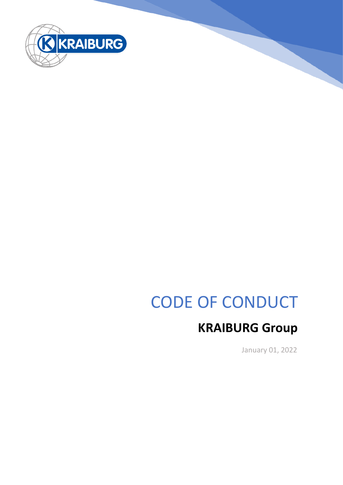

# CODE OF CONDUCT

# **KRAIBURG Group**

January 01, 2022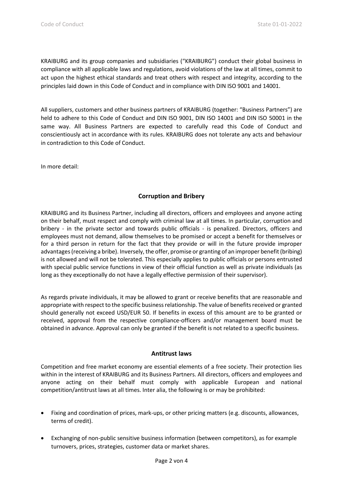KRAIBURG and its group companies and subsidiaries ("KRAIBURG") conduct their global business in compliance with all applicable laws and regulations, avoid violations of the law at all times, commit to act upon the highest ethical standards and treat others with respect and integrity, according to the principles laid down in this Code of Conduct and in compliance with DIN ISO 9001 and 14001.

All suppliers, customers and other business partners of KRAIBURG (together: "Business Partners") are held to adhere to this Code of Conduct and DIN ISO 9001, DIN ISO 14001 and DIN ISO 50001 in the same way. All Business Partners are expected to carefully read this Code of Conduct and conscientiously act in accordance with its rules. KRAIBURG does not tolerate any acts and behaviour in contradiction to this Code of Conduct.

In more detail:

# **Corruption and Bribery**

KRAIBURG and its Business Partner, including all directors, officers and employees and anyone acting on their behalf, must respect and comply with criminal law at all times. In particular, corruption and bribery - in the private sector and towards public officials - is penalized. Directors, officers and employees must not demand, allow themselves to be promised or accept a benefit for themselves or for a third person in return for the fact that they provide or will in the future provide improper advantages (receiving a bribe). Inversely, the offer, promise or granting of an improper benefit (bribing) is not allowed and will not be tolerated. This especially applies to public officials or persons entrusted with special public service functions in view of their official function as well as private individuals (as long as they exceptionally do not have a legally effective permission of their supervisor).

As regards private individuals, it may be allowed to grant or receive benefits that are reasonable and appropriate with respect to the specific business relationship. The value of benefits received or granted should generally not exceed USD/EUR 50. If benefits in excess of this amount are to be granted or received, approval from the respective compliance-officers and/or management board must be obtained in advance. Approval can only be granted if the benefit is not related to a specific business.

# **Antitrust laws**

Competition and free market economy are essential elements of a free society. Their protection lies within in the interest of KRAIBURG and its Business Partners. All directors, officers and employees and anyone acting on their behalf must comply with applicable European and national competition/antitrust laws at all times. Inter alia, the following is or may be prohibited:

- Fixing and coordination of prices, mark-ups, or other pricing matters (e.g. discounts, allowances, terms of credit).
- Exchanging of non-public sensitive business information (between competitors), as for example turnovers, prices, strategies, customer data or market shares.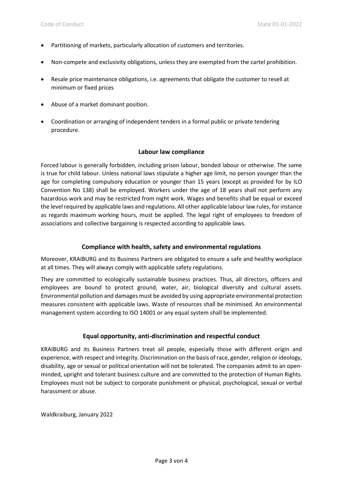- Partitioning of markets, particularly allocation of customers and territories.
- Non-compete and exclusivity obligations, unless they are exempted from the cartel prohibition.
- Resale price maintenance obligations, i.e. agreements that obligate the customer to resell at minimum or fixed prices
- Abuse of a market dominant position.
- Coordination or arranging of independent tenders in a formal public or private tendering procedure.

#### **Labour law compliance**

Forced labour is generally forbidden, including prison labour, bonded labour or otherwise. The same is true for child labour. Unless national laws stipulate a higher age limit, no person younger than the age for completing compulsory education or younger than 15 years (except as provided for by ILO Convention No 138) shall be employed. Workers under the age of 18 years shall not perform any hazardous work and may be restricted from night work. Wages and benefits shall be equal or exceed the level required by applicable laws and regulations. All other applicable labour law rules, for instance as regards maximum working hours, must be applied. The legal right of employees to freedom of associations and collective bargaining is respected according to applicable laws.

# **Compliance with health, safety and environmental regulations**

Moreover, KRAIBURG and its Business Partners are obligated to ensure a safe and healthy workplace at all times. They will always comply with applicable safety regulations.

They are committed to ecologically sustainable business practices. Thus, all directors, officers and employees are bound to protect ground, water, air, biological diversity and cultural assets. Environmental pollution and damages must be avoided by using appropriate environmental protection measures consistent with applicable laws. Waste of resources shall be minimised. An environmental management system according to ISO 14001 or any equal system shall be implemented.

# **Equal opportunity, anti-discrimination and respectful conduct**

KRAIBURG and its Business Partners treat all people, especially those with different origin and experience, with respect and integrity. Discrimination on the basis of race, gender, religion or ideology, disability, age or sexual or political orientation will not be tolerated. The companies admit to an openminded, upright and tolerant business culture and are committed to the protection of Human Rights. Employees must not be subject to corporate punishment or physical, psychological, sexual or verbal harassment or abuse.

Waldkraiburg, January 2022